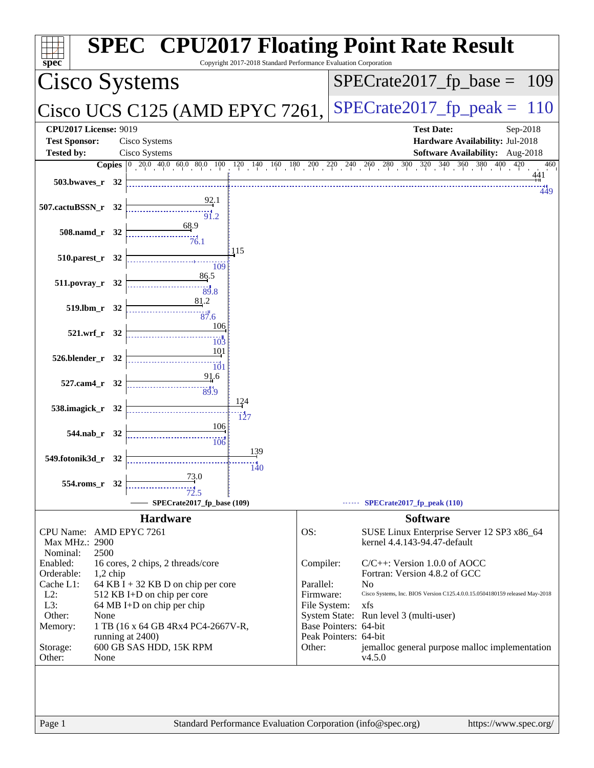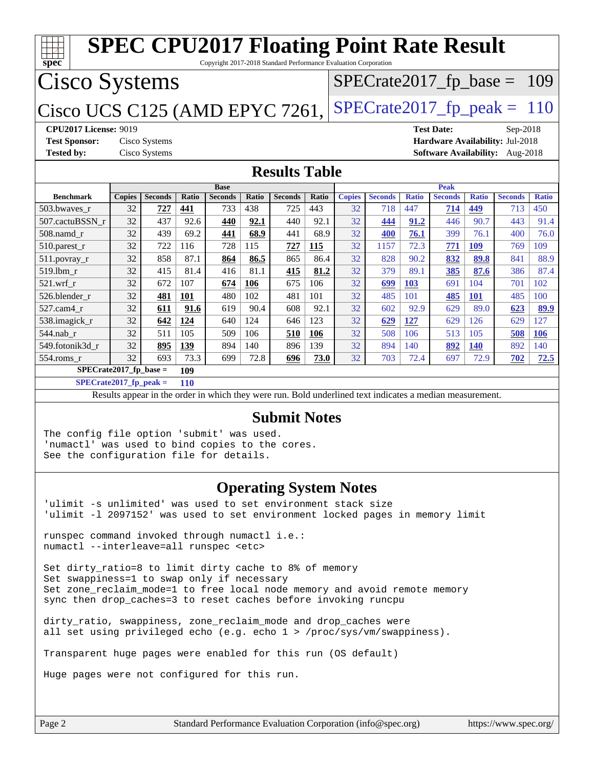| <b>SPEC CPU2017 Floating Point Rate Result</b><br>Copyright 2017-2018 Standard Performance Evaluation Corporation<br>spec                    |                                                                                                                                                                       |                                                                                                          |            |                |       |                               |       |               |                             |              |                |              |                |              |
|----------------------------------------------------------------------------------------------------------------------------------------------|-----------------------------------------------------------------------------------------------------------------------------------------------------------------------|----------------------------------------------------------------------------------------------------------|------------|----------------|-------|-------------------------------|-------|---------------|-----------------------------|--------------|----------------|--------------|----------------|--------------|
|                                                                                                                                              | <b>Cisco Systems</b><br>$SPECrate2017_fp\_base = 109$                                                                                                                 |                                                                                                          |            |                |       |                               |       |               |                             |              |                |              |                |              |
| Cisco UCS C125 (AMD EPYC 7261,                                                                                                               |                                                                                                                                                                       |                                                                                                          |            |                |       |                               |       |               | $SPECrate2017fp peak = 110$ |              |                |              |                |              |
| <b>Test Sponsor:</b><br><b>Tested by:</b>                                                                                                    | <b>CPU2017 License: 9019</b><br><b>Test Date:</b><br>Sep-2018<br>Cisco Systems<br>Hardware Availability: Jul-2018<br>Cisco Systems<br>Software Availability: Aug-2018 |                                                                                                          |            |                |       |                               |       |               |                             |              |                |              |                |              |
|                                                                                                                                              |                                                                                                                                                                       |                                                                                                          |            |                |       | <b>Results Table</b>          |       |               |                             |              |                |              |                |              |
|                                                                                                                                              |                                                                                                                                                                       |                                                                                                          |            | <b>Base</b>    |       |                               |       |               |                             |              | <b>Peak</b>    |              |                |              |
| <b>Benchmark</b>                                                                                                                             | <b>Copies</b>                                                                                                                                                         | <b>Seconds</b>                                                                                           | Ratio      | <b>Seconds</b> | Ratio | <b>Seconds</b>                | Ratio | <b>Copies</b> | <b>Seconds</b>              | <b>Ratio</b> | <b>Seconds</b> | <b>Ratio</b> | <b>Seconds</b> | <b>Ratio</b> |
| 503.bwaves r                                                                                                                                 | 32                                                                                                                                                                    | 727                                                                                                      | 441        | 733            | 438   | 725                           | 443   | 32            | 718                         | 447          | 714            | 449          | 713            | 450          |
| 507.cactuBSSN r                                                                                                                              | 32                                                                                                                                                                    | 437                                                                                                      | 92.6       | 440            | 92.1  | 440                           | 92.1  | 32            | 444                         | 91.2         | 446            | 90.7         | 443            | 91.4         |
| $508$ .namd $r$                                                                                                                              | 32                                                                                                                                                                    | 439                                                                                                      | 69.2       | 441            | 68.9  | 441                           | 68.9  | 32            | 400                         | 76.1         | 399            | 76.1         | 400            | 76.0         |
| 510.parest_r                                                                                                                                 | 32                                                                                                                                                                    | 722                                                                                                      | 116        | 728            | 115   | 727                           | 115   | 32            | 1157                        | 72.3         | 771            | <b>109</b>   | 769            | 109          |
| $511.$ povray_r                                                                                                                              | 32                                                                                                                                                                    | 858                                                                                                      | 87.1       | 864            | 86.5  | 865                           | 86.4  | 32            | 828                         | 90.2         | 832            | 89.8         | 841            | 88.9         |
| 519.lbm_r                                                                                                                                    | 32                                                                                                                                                                    | 415                                                                                                      | 81.4       | 416            | 81.1  | 415                           | 81.2  | 32            | 379                         | 89.1         | 385            | 87.6         | 386            | 87.4         |
| $521.wrf_r$                                                                                                                                  | 32                                                                                                                                                                    | 672                                                                                                      | 107        | 674            | 106   | 675                           | 106   | 32            | 699                         | 103          | 691            | 104          | 701            | 102          |
| 526.blender_r                                                                                                                                | 32                                                                                                                                                                    | <u>481</u>                                                                                               | <b>101</b> | 480            | 102   | 481                           | 101   | 32            | 485                         | 101          | <b>485</b>     | <u>101</u>   | 485            | 100          |
| 527.cam4 r                                                                                                                                   | 32                                                                                                                                                                    | 611                                                                                                      | 91.6       | 619            | 90.4  | 608                           | 92.1  | 32            | 602                         | 92.9         | 629            | 89.0         | 623            | 89.9         |
| 538.imagick_r                                                                                                                                | 32                                                                                                                                                                    | 642                                                                                                      | 124        | 640            | 124   | 646                           | 123   | 32            | 629                         | 127          | 629            | 126          | 629            | 127          |
| 544.nab r                                                                                                                                    | 32                                                                                                                                                                    | 511                                                                                                      | 105        | 509            | 106   | 510                           | 106   | 32            | 508                         | 106          | 513            | 105          | 508            | 106          |
| 549.fotonik3d r                                                                                                                              | 32                                                                                                                                                                    | 895                                                                                                      | 139        | 894            | 140   | 896                           | 139   | 32            | 894                         | 140          | 892            | <b>140</b>   | 892            | 140          |
| 554.roms_r                                                                                                                                   | 32                                                                                                                                                                    | 693                                                                                                      | 73.3       | 699            | 72.8  | 696                           | 73.0  | 32            | 703                         | 72.4         | 697            | 72.9         | 702            | 72.5         |
| $SPECrate2017_fp\_base =$                                                                                                                    |                                                                                                                                                                       |                                                                                                          | 109        |                |       |                               |       |               |                             |              |                |              |                |              |
| $SPECrate2017_fp\_peak =$                                                                                                                    |                                                                                                                                                                       |                                                                                                          | <b>110</b> |                |       |                               |       |               |                             |              |                |              |                |              |
|                                                                                                                                              |                                                                                                                                                                       | Results appear in the order in which they were run. Bold underlined text indicates a median measurement. |            |                |       |                               |       |               |                             |              |                |              |                |              |
|                                                                                                                                              | <b>Submit Notes</b>                                                                                                                                                   |                                                                                                          |            |                |       |                               |       |               |                             |              |                |              |                |              |
| The config file option 'submit' was used.<br>'numactl' was used to bind copies to the cores.<br>See the configuration file for details.      |                                                                                                                                                                       |                                                                                                          |            |                |       |                               |       |               |                             |              |                |              |                |              |
| 'ulimit -s unlimited' was used to set environment stack size<br>'ulimit -1 2097152' was used to set environment locked pages in memory limit |                                                                                                                                                                       |                                                                                                          |            |                |       | <b>Operating System Notes</b> |       |               |                             |              |                |              |                |              |

runspec command invoked through numactl i.e.: numactl --interleave=all runspec <etc>

Set dirty\_ratio=8 to limit dirty cache to 8% of memory Set swappiness=1 to swap only if necessary Set zone\_reclaim\_mode=1 to free local node memory and avoid remote memory sync then drop\_caches=3 to reset caches before invoking runcpu

dirty\_ratio, swappiness, zone\_reclaim\_mode and drop\_caches were all set using privileged echo (e.g. echo 1 > /proc/sys/vm/swappiness).

Transparent huge pages were enabled for this run (OS default)

Huge pages were not configured for this run.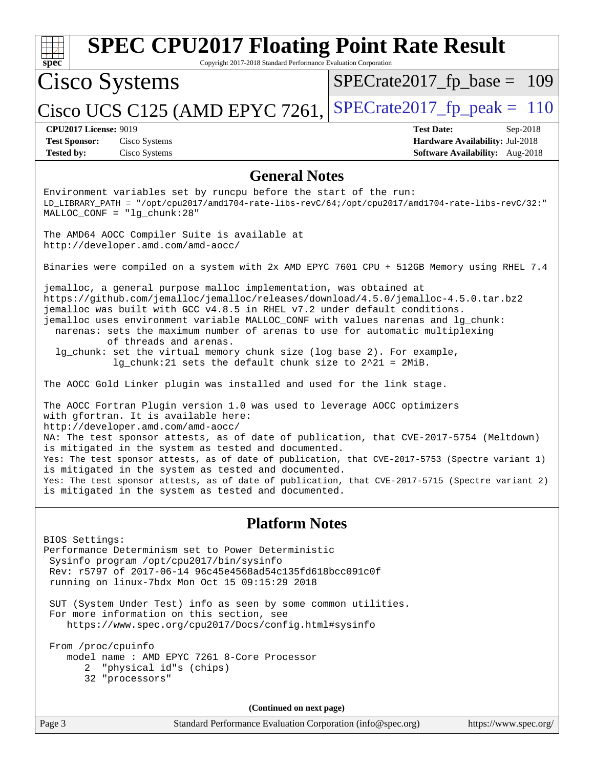| <b>SPEC CPU2017 Floating Point Rate Result</b><br>spec<br>Copyright 2017-2018 Standard Performance Evaluation Corporation                                                                                                                                                                                                                                                                                                                                                                                                                                                               |                                                                                                            |  |  |  |
|-----------------------------------------------------------------------------------------------------------------------------------------------------------------------------------------------------------------------------------------------------------------------------------------------------------------------------------------------------------------------------------------------------------------------------------------------------------------------------------------------------------------------------------------------------------------------------------------|------------------------------------------------------------------------------------------------------------|--|--|--|
| Cisco Systems                                                                                                                                                                                                                                                                                                                                                                                                                                                                                                                                                                           | $SPECrate2017_fp\_base = 109$                                                                              |  |  |  |
| Cisco UCS C125 (AMD EPYC 7261,                                                                                                                                                                                                                                                                                                                                                                                                                                                                                                                                                          | $SPECrate2017fp peak = 110$                                                                                |  |  |  |
| <b>CPU2017 License: 9019</b><br><b>Test Sponsor:</b><br>Cisco Systems<br><b>Tested by:</b><br>Cisco Systems                                                                                                                                                                                                                                                                                                                                                                                                                                                                             | <b>Test Date:</b><br>Sep-2018<br>Hardware Availability: Jul-2018<br><b>Software Availability:</b> Aug-2018 |  |  |  |
| <b>General Notes</b>                                                                                                                                                                                                                                                                                                                                                                                                                                                                                                                                                                    |                                                                                                            |  |  |  |
| Environment variables set by runcpu before the start of the run:<br>LD_LIBRARY_PATH = "/opt/cpu2017/amd1704-rate-libs-revC/64;/opt/cpu2017/amd1704-rate-libs-revC/32:"<br>$MALLOC$ $CONF = "lg_chunk:28"$                                                                                                                                                                                                                                                                                                                                                                               |                                                                                                            |  |  |  |
| The AMD64 AOCC Compiler Suite is available at<br>http://developer.amd.com/amd-aocc/                                                                                                                                                                                                                                                                                                                                                                                                                                                                                                     |                                                                                                            |  |  |  |
| Binaries were compiled on a system with 2x AMD EPYC 7601 CPU + 512GB Memory using RHEL 7.4                                                                                                                                                                                                                                                                                                                                                                                                                                                                                              |                                                                                                            |  |  |  |
| jemalloc, a general purpose malloc implementation, was obtained at<br>https://github.com/jemalloc/jemalloc/releases/download/4.5.0/jemalloc-4.5.0.tar.bz2<br>jemalloc was built with GCC v4.8.5 in RHEL v7.2 under default conditions.<br>jemalloc uses environment variable MALLOC_CONF with values narenas and lg_chunk:<br>narenas: sets the maximum number of arenas to use for automatic multiplexing<br>of threads and arenas.<br>lg_chunk: set the virtual memory chunk size (log base 2). For example,<br>$lg_{\text{c}}$ chunk: 21 sets the default chunk size to 2^21 = 2MiB. |                                                                                                            |  |  |  |
| The AOCC Gold Linker plugin was installed and used for the link stage.                                                                                                                                                                                                                                                                                                                                                                                                                                                                                                                  |                                                                                                            |  |  |  |
| The AOCC Fortran Plugin version 1.0 was used to leverage AOCC optimizers<br>with gfortran. It is available here:<br>http://developer.amd.com/amd-aocc/<br>NA: The test sponsor attests, as of date of publication, that CVE-2017-5754 (Meltdown)                                                                                                                                                                                                                                                                                                                                        |                                                                                                            |  |  |  |
| is mitigated in the system as tested and documented.<br>Yes: The test sponsor attests, as of date of publication, that CVE-2017-5753 (Spectre variant 1)<br>is mitigated in the system as tested and documented.                                                                                                                                                                                                                                                                                                                                                                        |                                                                                                            |  |  |  |
| Yes: The test sponsor attests, as of date of publication, that CVE-2017-5715 (Spectre variant 2)<br>is mitigated in the system as tested and documented.                                                                                                                                                                                                                                                                                                                                                                                                                                |                                                                                                            |  |  |  |
| <b>Platform Notes</b>                                                                                                                                                                                                                                                                                                                                                                                                                                                                                                                                                                   |                                                                                                            |  |  |  |
| BIOS Settings:<br>Performance Determinism set to Power Deterministic<br>Sysinfo program /opt/cpu2017/bin/sysinfo<br>Rev: r5797 of 2017-06-14 96c45e4568ad54c135fd618bcc091c0f<br>running on linux-7bdx Mon Oct 15 09:15:29 2018                                                                                                                                                                                                                                                                                                                                                         |                                                                                                            |  |  |  |
| SUT (System Under Test) info as seen by some common utilities.<br>For more information on this section, see<br>https://www.spec.org/cpu2017/Docs/config.html#sysinfo                                                                                                                                                                                                                                                                                                                                                                                                                    |                                                                                                            |  |  |  |
| From /proc/cpuinfo<br>model name: AMD EPYC 7261 8-Core Processor<br>"physical id"s (chips)<br>2<br>32 "processors"                                                                                                                                                                                                                                                                                                                                                                                                                                                                      |                                                                                                            |  |  |  |
| (Continued on next page)                                                                                                                                                                                                                                                                                                                                                                                                                                                                                                                                                                |                                                                                                            |  |  |  |
| Page 3<br>Standard Performance Evaluation Corporation (info@spec.org)                                                                                                                                                                                                                                                                                                                                                                                                                                                                                                                   | https://www.spec.org/                                                                                      |  |  |  |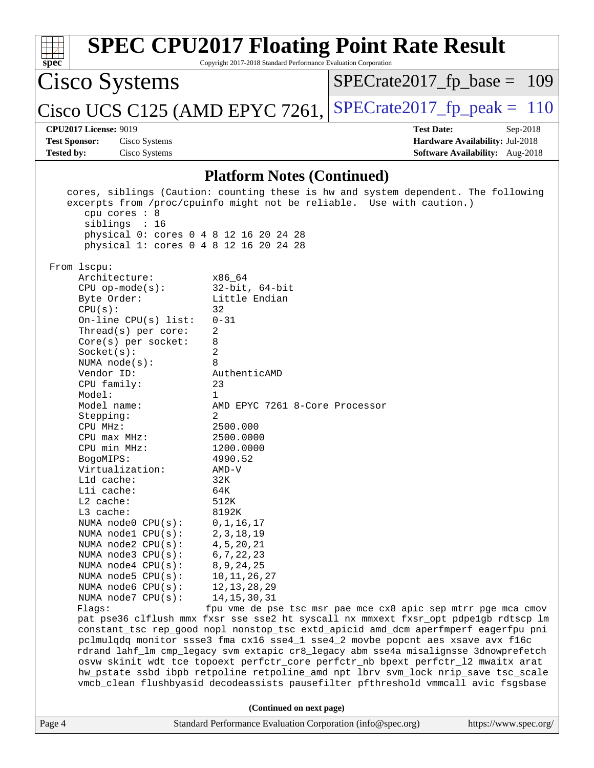|                                   |                                                                                      | <b>SPEC CPU2017 Floating Point Rate Result</b>                 |                               |                                        |  |            |  |
|-----------------------------------|--------------------------------------------------------------------------------------|----------------------------------------------------------------|-------------------------------|----------------------------------------|--|------------|--|
|                                   | spec <sup>®</sup><br>Copyright 2017-2018 Standard Performance Evaluation Corporation |                                                                |                               |                                        |  |            |  |
| Cisco Systems                     |                                                                                      |                                                                | $SPECrate2017_fp\_base = 109$ |                                        |  |            |  |
|                                   |                                                                                      | $ Cisco UCS C125 (AMD EPYC 7261,   SPECrate2017_fp_peak = 110$ |                               |                                        |  |            |  |
| <b>CPU2017 License: 9019</b>      |                                                                                      |                                                                |                               | <b>Test Date:</b>                      |  | $Sep-2018$ |  |
| <b>Test Sponsor:</b>              | Cisco Systems                                                                        |                                                                |                               | Hardware Availability: Jul-2018        |  |            |  |
| <b>Tested by:</b>                 | Cisco Systems                                                                        |                                                                |                               | <b>Software Availability:</b> Aug-2018 |  |            |  |
| <b>Platform Notes (Continued)</b> |                                                                                      |                                                                |                               |                                        |  |            |  |

|        | cpu cores : 8<br>siblings : 16<br>physical 0: cores 0 4 8 12 16 20 24 28<br>physical 1: cores 0 4 8 12 16 20 24 28                                                                                                                                                                                                                                                                                                                                                                                                                                                                                           | cores, siblings (Caution: counting these is hw and system dependent. The following<br>excerpts from /proc/cpuinfo might not be reliable. Use with caution.)                                                                                                                                                                                                                                                                                                                                                                                                                                                                                                                                                                                                                                                                                                                                                                                                                                      |                       |
|--------|--------------------------------------------------------------------------------------------------------------------------------------------------------------------------------------------------------------------------------------------------------------------------------------------------------------------------------------------------------------------------------------------------------------------------------------------------------------------------------------------------------------------------------------------------------------------------------------------------------------|--------------------------------------------------------------------------------------------------------------------------------------------------------------------------------------------------------------------------------------------------------------------------------------------------------------------------------------------------------------------------------------------------------------------------------------------------------------------------------------------------------------------------------------------------------------------------------------------------------------------------------------------------------------------------------------------------------------------------------------------------------------------------------------------------------------------------------------------------------------------------------------------------------------------------------------------------------------------------------------------------|-----------------------|
|        | From 1scpu:<br>Architecture:<br>$CPU$ op-mode(s):<br>Byte Order:<br>CPU(s):<br>On-line CPU(s) list:<br>Thread(s) per core:<br>$Core(s)$ per socket:<br>Socket(s):<br>NUMA $node(s):$<br>Vendor ID:<br>CPU family:<br>Model:<br>Model name:<br>Stepping:<br>CPU MHz:<br>$CPU$ $max$ $MHz$ :<br>CPU min MHz:<br>BogoMIPS:<br>Virtualization:<br>Lld cache:<br>Lli cache:<br>$L2$ cache:<br>L3 cache:<br>NUMA node0 CPU(s):<br>NUMA nodel CPU(s):<br>NUMA $node2$ $CPU(s):$<br>NUMA $node3$ $CPU(s):$<br>NUMA $node4$ $CPU(s):$<br>NUMA $node5$ $CPU(s):$<br>NUMA node6 CPU(s):<br>NUMA node7 CPU(s):<br>Flaqs: | x86_64<br>$32$ -bit, $64$ -bit<br>Little Endian<br>32<br>$0 - 31$<br>2<br>8<br>2<br>8<br>AuthenticAMD<br>23<br>1<br>AMD EPYC 7261 8-Core Processor<br>2<br>2500.000<br>2500.0000<br>1200.0000<br>4990.52<br>$\text{AMD-V}$<br>32K<br>64K<br>512K<br>8192K<br>0, 1, 16, 17<br>2, 3, 18, 19<br>4, 5, 20, 21<br>6, 7, 22, 23<br>8, 9, 24, 25<br>10, 11, 26, 27<br>12, 13, 28, 29<br>14, 15, 30, 31<br>fpu vme de pse tsc msr pae mce cx8 apic sep mtrr pge mca cmov<br>pat pse36 clflush mmx fxsr sse sse2 ht syscall nx mmxext fxsr_opt pdpe1gb rdtscp lm<br>constant_tsc rep_good nopl nonstop_tsc extd_apicid amd_dcm aperfmperf eagerfpu pni<br>pclmulqdq monitor ssse3 fma cx16 sse4_1 sse4_2 movbe popcnt aes xsave avx f16c<br>rdrand lahf_lm cmp_legacy svm extapic cr8_legacy abm sse4a misalignsse 3dnowprefetch<br>osvw skinit wdt tce topoext perfctr_core perfctr_nb bpext perfctr_12 mwaitx arat<br>hw_pstate ssbd ibpb retpoline retpoline_amd npt lbrv svm_lock nrip_save tsc_scale |                       |
|        |                                                                                                                                                                                                                                                                                                                                                                                                                                                                                                                                                                                                              | vmcb_clean flushbyasid decodeassists pausefilter pfthreshold vmmcall avic fsgsbase                                                                                                                                                                                                                                                                                                                                                                                                                                                                                                                                                                                                                                                                                                                                                                                                                                                                                                               |                       |
| Page 4 |                                                                                                                                                                                                                                                                                                                                                                                                                                                                                                                                                                                                              | (Continued on next page)<br>Standard Performance Evaluation Corporation (info@spec.org)                                                                                                                                                                                                                                                                                                                                                                                                                                                                                                                                                                                                                                                                                                                                                                                                                                                                                                          | https://www.spec.org/ |
|        |                                                                                                                                                                                                                                                                                                                                                                                                                                                                                                                                                                                                              |                                                                                                                                                                                                                                                                                                                                                                                                                                                                                                                                                                                                                                                                                                                                                                                                                                                                                                                                                                                                  |                       |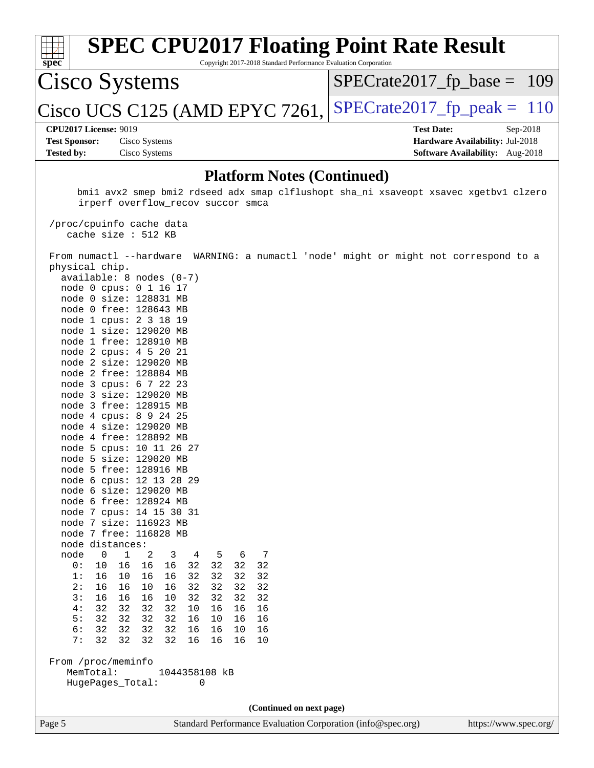| spec                                                                                                                      | <b>SPEC CPU2017 Floating Point Rate Result</b><br>Copyright 2017-2018 Standard Performance Evaluation Corporation                    |                               |                                        |            |  |  |
|---------------------------------------------------------------------------------------------------------------------------|--------------------------------------------------------------------------------------------------------------------------------------|-------------------------------|----------------------------------------|------------|--|--|
| Cisco Systems                                                                                                             |                                                                                                                                      | $SPECrate2017_fp\_base = 109$ |                                        |            |  |  |
|                                                                                                                           | Cisco UCS C125 (AMD EPYC 7261,                                                                                                       | $SPECrate2017_fp\_peak = 110$ |                                        |            |  |  |
| <b>CPU2017 License: 9019</b>                                                                                              |                                                                                                                                      |                               | <b>Test Date:</b>                      | $Sep-2018$ |  |  |
| <b>Test Sponsor:</b>                                                                                                      | Cisco Systems                                                                                                                        |                               | Hardware Availability: Jul-2018        |            |  |  |
| <b>Tested by:</b>                                                                                                         | Cisco Systems                                                                                                                        |                               | <b>Software Availability:</b> Aug-2018 |            |  |  |
| <b>Platform Notes (Continued)</b><br>bmil avx2 smep bmi2 rdseed adx smap clflushopt sha ni xsaveopt xsavec xgetbvl clzero |                                                                                                                                      |                               |                                        |            |  |  |
| irperf overflow recov succor smca                                                                                         |                                                                                                                                      |                               |                                        |            |  |  |
|                                                                                                                           | /proc/cpuinfo cache data<br>cache size $: 512$ KB                                                                                    |                               |                                        |            |  |  |
|                                                                                                                           | From numactl --hardware WARNING: a numactl 'node' might or might not correspond to a<br>physical chip.<br>$avgilahle: 8 nodes (0-7)$ |                               |                                        |            |  |  |

**(Continued on next page)**

Page 5 Standard Performance Evaluation Corporation [\(info@spec.org\)](mailto:info@spec.org) <https://www.spec.org/>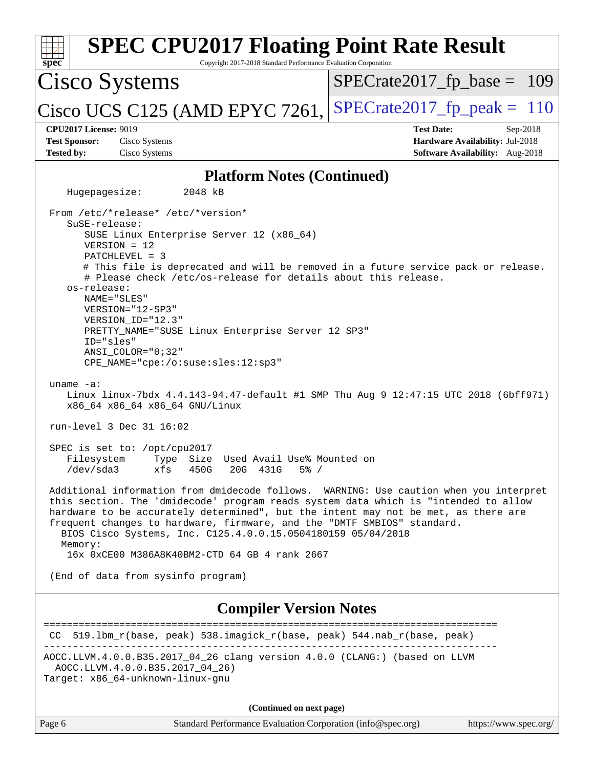| <b>SPEC CPU2017 Floating Point Rate Result</b><br>Copyright 2017-2018 Standard Performance Evaluation Corporation<br>spec <sup>®</sup>                                                                                                                                                                                                                                                                                                                                                                                                                                                                       |                                                                                                       |  |  |  |
|--------------------------------------------------------------------------------------------------------------------------------------------------------------------------------------------------------------------------------------------------------------------------------------------------------------------------------------------------------------------------------------------------------------------------------------------------------------------------------------------------------------------------------------------------------------------------------------------------------------|-------------------------------------------------------------------------------------------------------|--|--|--|
| <b>Cisco Systems</b>                                                                                                                                                                                                                                                                                                                                                                                                                                                                                                                                                                                         | $SPECrate2017_fp\_base = 109$                                                                         |  |  |  |
| Cisco UCS C125 (AMD EPYC 7261,                                                                                                                                                                                                                                                                                                                                                                                                                                                                                                                                                                               | $SPECTate2017$ _fp_peak = 110                                                                         |  |  |  |
| <b>CPU2017 License: 9019</b><br><b>Test Sponsor:</b><br>Cisco Systems<br><b>Tested by:</b><br>Cisco Systems                                                                                                                                                                                                                                                                                                                                                                                                                                                                                                  | <b>Test Date:</b><br>$Sep-2018$<br>Hardware Availability: Jul-2018<br>Software Availability: Aug-2018 |  |  |  |
|                                                                                                                                                                                                                                                                                                                                                                                                                                                                                                                                                                                                              |                                                                                                       |  |  |  |
| <b>Platform Notes (Continued)</b>                                                                                                                                                                                                                                                                                                                                                                                                                                                                                                                                                                            |                                                                                                       |  |  |  |
| Hugepagesize:<br>2048 kB                                                                                                                                                                                                                                                                                                                                                                                                                                                                                                                                                                                     |                                                                                                       |  |  |  |
| From /etc/*release* /etc/*version*<br>SuSE-release:<br>SUSE Linux Enterprise Server 12 (x86_64)<br>$VERSION = 12$<br>$PATCHLEVEL = 3$<br># This file is deprecated and will be removed in a future service pack or release.<br># Please check /etc/os-release for details about this release.<br>os-release:<br>NAME="SLES"<br>$VERSION = "12-SP3"$<br>VERSION_ID="12.3"<br>PRETTY_NAME="SUSE Linux Enterprise Server 12 SP3"<br>ID="sles"<br>ANSI COLOR="0;32"<br>CPE_NAME="cpe:/o:suse:sles:12:sp3"<br>uname $-a$ :<br>Linux linux-7bdx 4.4.143-94.47-default #1 SMP Thu Aug 9 12:47:15 UTC 2018 (6bff971) |                                                                                                       |  |  |  |
| x86_64 x86_64 x86_64 GNU/Linux<br>run-level 3 Dec 31 16:02                                                                                                                                                                                                                                                                                                                                                                                                                                                                                                                                                   |                                                                                                       |  |  |  |
| SPEC is set to: /opt/cpu2017<br>Filesystem<br>Type Size Used Avail Use% Mounted on<br>xfs 450G 20G 431G 5% /<br>/dev/sda3                                                                                                                                                                                                                                                                                                                                                                                                                                                                                    |                                                                                                       |  |  |  |
| Additional information from dmidecode follows. WARNING: Use caution when you interpret<br>this section. The 'dmidecode' program reads system data which is "intended to allow<br>hardware to be accurately determined", but the intent may not be met, as there are<br>frequent changes to hardware, firmware, and the "DMTF SMBIOS" standard.<br>BIOS Cisco Systems, Inc. C125.4.0.0.15.0504180159 05/04/2018<br>Memory:<br>16x 0xCE00 M386A8K40BM2-CTD 64 GB 4 rank 2667                                                                                                                                   |                                                                                                       |  |  |  |
| (End of data from sysinfo program)                                                                                                                                                                                                                                                                                                                                                                                                                                                                                                                                                                           |                                                                                                       |  |  |  |
| <b>Compiler Version Notes</b>                                                                                                                                                                                                                                                                                                                                                                                                                                                                                                                                                                                |                                                                                                       |  |  |  |
| CC 519.1bm_r(base, peak) 538.imagick_r(base, peak) 544.nab_r(base, peak)                                                                                                                                                                                                                                                                                                                                                                                                                                                                                                                                     |                                                                                                       |  |  |  |
| AOCC.LLVM.4.0.0.B35.2017_04_26 clang version 4.0.0 (CLANG:) (based on LLVM<br>AOCC.LLVM.4.0.0.B35.2017 04 26)<br>Target: x86_64-unknown-linux-gnu                                                                                                                                                                                                                                                                                                                                                                                                                                                            |                                                                                                       |  |  |  |
| (Continued on next page)                                                                                                                                                                                                                                                                                                                                                                                                                                                                                                                                                                                     |                                                                                                       |  |  |  |
| Standard Performance Evaluation Corporation (info@spec.org)<br>Page 6                                                                                                                                                                                                                                                                                                                                                                                                                                                                                                                                        | https://www.spec.org/                                                                                 |  |  |  |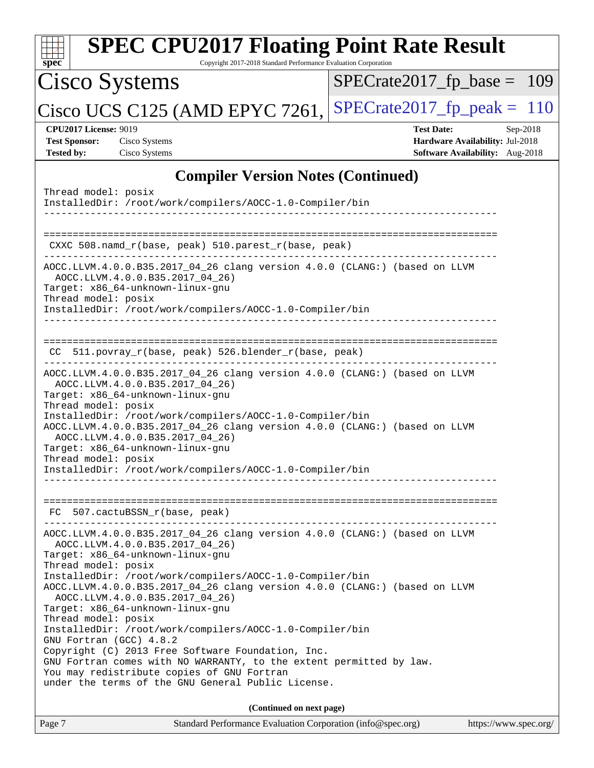| <b>SPEC CPU2017 Floating Point Rate Result</b><br>spec<br>Copyright 2017-2018 Standard Performance Evaluation Corporation                                                                                                                                                                                                                                                                                                                                                                                      |                                                                                                     |
|----------------------------------------------------------------------------------------------------------------------------------------------------------------------------------------------------------------------------------------------------------------------------------------------------------------------------------------------------------------------------------------------------------------------------------------------------------------------------------------------------------------|-----------------------------------------------------------------------------------------------------|
| Cisco Systems                                                                                                                                                                                                                                                                                                                                                                                                                                                                                                  | $SPECrate2017_fp\_base = 109$                                                                       |
| Cisco UCS C125 (AMD EPYC 7261,                                                                                                                                                                                                                                                                                                                                                                                                                                                                                 | $SPECrate2017fp peak = 110$                                                                         |
| <b>CPU2017 License: 9019</b><br><b>Test Sponsor:</b><br>Cisco Systems<br><b>Tested by:</b><br>Cisco Systems                                                                                                                                                                                                                                                                                                                                                                                                    | <b>Test Date:</b><br>Sep-2018<br>Hardware Availability: Jul-2018<br>Software Availability: Aug-2018 |
| <b>Compiler Version Notes (Continued)</b>                                                                                                                                                                                                                                                                                                                                                                                                                                                                      |                                                                                                     |
| Thread model: posix<br>InstalledDir: /root/work/compilers/AOCC-1.0-Compiler/bin                                                                                                                                                                                                                                                                                                                                                                                                                                |                                                                                                     |
| CXXC $508.namd_r(base, peak) 510.parest_r(base, peak)$                                                                                                                                                                                                                                                                                                                                                                                                                                                         |                                                                                                     |
| AOCC.LLVM.4.0.0.B35.2017_04_26 clang version 4.0.0 (CLANG:) (based on LLVM<br>AOCC.LLVM.4.0.0.B35.2017 04 26)<br>Target: x86_64-unknown-linux-gnu<br>Thread model: posix<br>InstalledDir: /root/work/compilers/AOCC-1.0-Compiler/bin                                                                                                                                                                                                                                                                           |                                                                                                     |
| CC 511.povray_r(base, peak) 526.blender_r(base, peak)                                                                                                                                                                                                                                                                                                                                                                                                                                                          |                                                                                                     |
| AOCC.LLVM.4.0.0.B35.2017_04_26 clang version 4.0.0 (CLANG:) (based on LLVM<br>AOCC.LLVM.4.0.0.B35.2017_04_26)<br>Target: x86_64-unknown-linux-gnu<br>Thread model: posix<br>InstalledDir: /root/work/compilers/AOCC-1.0-Compiler/bin<br>AOCC.LLVM.4.0.0.B35.2017_04_26 clang version 4.0.0 (CLANG:) (based on LLVM<br>AOCC.LLVM.4.0.0.B35.2017 04 26)<br>Target: x86_64-unknown-linux-gnu<br>Thread model: posix<br>InstalledDir: /root/work/compilers/AOCC-1.0-Compiler/bin                                   |                                                                                                     |
|                                                                                                                                                                                                                                                                                                                                                                                                                                                                                                                |                                                                                                     |
| FC 507.cactuBSSN_r(base, peak)<br>AOCC.LLVM.4.0.0.B35.2017_04_26 clang version 4.0.0 (CLANG:) (based on LLVM<br>AOCC.LLVM.4.0.0.B35.2017 04 26)<br>Target: x86 64-unknown-linux-qnu<br>Thread model: posix<br>InstalledDir: /root/work/compilers/AOCC-1.0-Compiler/bin<br>AOCC.LLVM.4.0.0.B35.2017_04_26 clang version 4.0.0 (CLANG:) (based on LLVM<br>AOCC.LLVM.4.0.0.B35.2017_04_26)<br>Target: x86_64-unknown-linux-gnu<br>Thread model: posix<br>InstalledDir: /root/work/compilers/AOCC-1.0-Compiler/bin |                                                                                                     |
| GNU Fortran (GCC) 4.8.2<br>Copyright (C) 2013 Free Software Foundation, Inc.<br>GNU Fortran comes with NO WARRANTY, to the extent permitted by law.<br>You may redistribute copies of GNU Fortran<br>under the terms of the GNU General Public License.                                                                                                                                                                                                                                                        |                                                                                                     |
| (Continued on next page)                                                                                                                                                                                                                                                                                                                                                                                                                                                                                       |                                                                                                     |
| Standard Performance Evaluation Corporation (info@spec.org)<br>Page 7                                                                                                                                                                                                                                                                                                                                                                                                                                          | https://www.spec.org/                                                                               |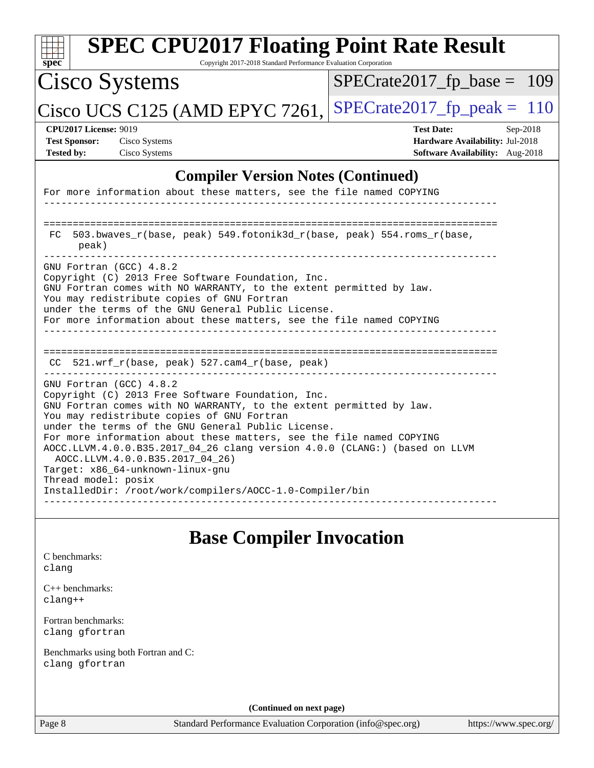| spec <sup>®</sup>                                                                                                                                                                                                                                       | <b>SPEC CPU2017 Floating Point Rate Result</b><br>Copyright 2017-2018 Standard Performance Evaluation Corporation                                                                     |                                                                                                                     |  |  |  |  |
|---------------------------------------------------------------------------------------------------------------------------------------------------------------------------------------------------------------------------------------------------------|---------------------------------------------------------------------------------------------------------------------------------------------------------------------------------------|---------------------------------------------------------------------------------------------------------------------|--|--|--|--|
|                                                                                                                                                                                                                                                         | <b>Cisco Systems</b>                                                                                                                                                                  | $SPECrate2017_fp\_base = 109$                                                                                       |  |  |  |  |
|                                                                                                                                                                                                                                                         | Cisco UCS C125 (AMD EPYC 7261,                                                                                                                                                        | $SPECrate2017_fp\_peak = 110$                                                                                       |  |  |  |  |
| <b>Test Sponsor:</b><br><b>Tested by:</b>                                                                                                                                                                                                               | <b>CPU2017 License: 9019</b><br>Cisco Systems<br>Cisco Systems                                                                                                                        | <b>Test Date:</b><br>$Sep-2018$<br><b>Hardware Availability: Jul-2018</b><br><b>Software Availability:</b> Aug-2018 |  |  |  |  |
|                                                                                                                                                                                                                                                         | <b>Compiler Version Notes (Continued)</b>                                                                                                                                             |                                                                                                                     |  |  |  |  |
|                                                                                                                                                                                                                                                         | For more information about these matters, see the file named COPYING                                                                                                                  |                                                                                                                     |  |  |  |  |
| FC.                                                                                                                                                                                                                                                     | 503.bwaves_r(base, peak) 549.fotonik3d_r(base, peak) 554.roms_r(base,<br>peak)                                                                                                        |                                                                                                                     |  |  |  |  |
| GNU Fortran (GCC) 4.8.2<br>Copyright (C) 2013 Free Software Foundation, Inc.<br>GNU Fortran comes with NO WARRANTY, to the extent permitted by law.<br>You may redistribute copies of GNU Fortran<br>under the terms of the GNU General Public License. |                                                                                                                                                                                       |                                                                                                                     |  |  |  |  |
|                                                                                                                                                                                                                                                         | For more information about these matters, see the file named COPYING                                                                                                                  |                                                                                                                     |  |  |  |  |
|                                                                                                                                                                                                                                                         | CC 521.wrf_r(base, peak) 527.cam4_r(base, peak)                                                                                                                                       |                                                                                                                     |  |  |  |  |
|                                                                                                                                                                                                                                                         | GNU Fortran (GCC) 4.8.2<br>Copyright (C) 2013 Free Software Foundation, Inc.                                                                                                          |                                                                                                                     |  |  |  |  |
|                                                                                                                                                                                                                                                         | GNU Fortran comes with NO WARRANTY, to the extent permitted by law.<br>You may redistribute copies of GNU Fortran<br>under the terms of the GNU General Public License.               |                                                                                                                     |  |  |  |  |
|                                                                                                                                                                                                                                                         | For more information about these matters, see the file named COPYING<br>AOCC.LLVM.4.0.0.B35.2017_04_26 clang version 4.0.0 (CLANG:) (based on LLVM<br>AOCC.LLVM.4.0.0.B35.2017_04_26) |                                                                                                                     |  |  |  |  |
| Target: x86_64-unknown-linux-gnu<br>Thread model: posix<br>InstalledDir: /root/work/compilers/AOCC-1.0-Compiler/bin                                                                                                                                     |                                                                                                                                                                                       |                                                                                                                     |  |  |  |  |
|                                                                                                                                                                                                                                                         | <b>Base Compiler Invocation</b>                                                                                                                                                       |                                                                                                                     |  |  |  |  |
| C benchmarks:<br>clang                                                                                                                                                                                                                                  |                                                                                                                                                                                       |                                                                                                                     |  |  |  |  |
| $clanq++$                                                                                                                                                                                                                                               | $C_{++}$ benchmarks:                                                                                                                                                                  |                                                                                                                     |  |  |  |  |
|                                                                                                                                                                                                                                                         | Fortran benchmarks:<br>clang gfortran                                                                                                                                                 |                                                                                                                     |  |  |  |  |
|                                                                                                                                                                                                                                                         | Benchmarks using both Fortran and C:<br>clang gfortran                                                                                                                                |                                                                                                                     |  |  |  |  |

**(Continued on next page)**

Page 8 Standard Performance Evaluation Corporation [\(info@spec.org\)](mailto:info@spec.org) <https://www.spec.org/>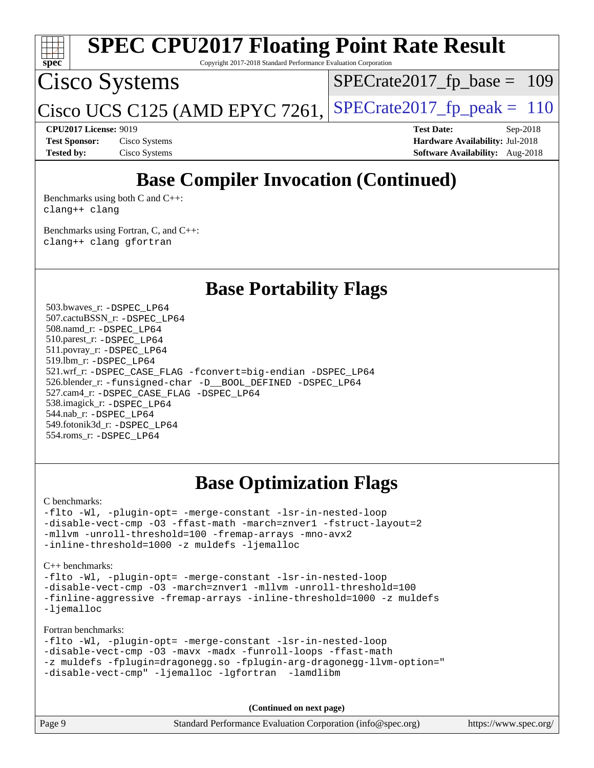

**[CPU2017 License:](http://www.spec.org/auto/cpu2017/Docs/result-fields.html#CPU2017License)** 9019 **[Test Date:](http://www.spec.org/auto/cpu2017/Docs/result-fields.html#TestDate)** Sep-2018 **[Test Sponsor:](http://www.spec.org/auto/cpu2017/Docs/result-fields.html#TestSponsor)** Cisco Systems **[Hardware Availability:](http://www.spec.org/auto/cpu2017/Docs/result-fields.html#HardwareAvailability)** Jul-2018 **[Tested by:](http://www.spec.org/auto/cpu2017/Docs/result-fields.html#Testedby)** Cisco Systems **[Software Availability:](http://www.spec.org/auto/cpu2017/Docs/result-fields.html#SoftwareAvailability)** Aug-2018

## **[Base Compiler Invocation \(Continued\)](http://www.spec.org/auto/cpu2017/Docs/result-fields.html#BaseCompilerInvocation)**

[Benchmarks using both C and C++](http://www.spec.org/auto/cpu2017/Docs/result-fields.html#BenchmarksusingbothCandCXX): [clang++](http://www.spec.org/cpu2017/results/res2018q4/cpu2017-20181016-09253.flags.html#user_CC_CXXbase_Fclang3_57a48582e5be507d19b2527b3e7d4f85d9b8669ffc9a8a0dbb9bcf949a918a58bbab411e0c4d14a3922022a3e425a90db94042683824c1806feff4324ca1000d) [clang](http://www.spec.org/cpu2017/results/res2018q4/cpu2017-20181016-09253.flags.html#user_CC_CXXbase_Fclang3)

[Benchmarks using Fortran, C, and C++:](http://www.spec.org/auto/cpu2017/Docs/result-fields.html#BenchmarksusingFortranCandCXX) [clang++](http://www.spec.org/cpu2017/results/res2018q4/cpu2017-20181016-09253.flags.html#user_CC_CXX_FCbase_Fclang3_57a48582e5be507d19b2527b3e7d4f85d9b8669ffc9a8a0dbb9bcf949a918a58bbab411e0c4d14a3922022a3e425a90db94042683824c1806feff4324ca1000d) [clang](http://www.spec.org/cpu2017/results/res2018q4/cpu2017-20181016-09253.flags.html#user_CC_CXX_FCbase_Fclang3) [gfortran](http://www.spec.org/cpu2017/results/res2018q4/cpu2017-20181016-09253.flags.html#user_CC_CXX_FCbase_Fgfortran_128c91a56d61ddb07404721e65b8f9498c31a443dacbd3b7f212891090eca86e2d099b520f75b99e9e8ac4fdec01f4d15f0b65e47123ec4c42b0759045731a1f)

**[Base Portability Flags](http://www.spec.org/auto/cpu2017/Docs/result-fields.html#BasePortabilityFlags)**

 503.bwaves\_r: [-DSPEC\\_LP64](http://www.spec.org/cpu2017/results/res2018q4/cpu2017-20181016-09253.flags.html#suite_baseEXTRA_PORTABILITY503_bwaves_r_DSPEC_LP64) 507.cactuBSSN\_r: [-DSPEC\\_LP64](http://www.spec.org/cpu2017/results/res2018q4/cpu2017-20181016-09253.flags.html#suite_baseEXTRA_PORTABILITY507_cactuBSSN_r_DSPEC_LP64) 508.namd\_r: [-DSPEC\\_LP64](http://www.spec.org/cpu2017/results/res2018q4/cpu2017-20181016-09253.flags.html#suite_baseEXTRA_PORTABILITY508_namd_r_DSPEC_LP64) 510.parest\_r: [-DSPEC\\_LP64](http://www.spec.org/cpu2017/results/res2018q4/cpu2017-20181016-09253.flags.html#suite_baseEXTRA_PORTABILITY510_parest_r_DSPEC_LP64) 511.povray\_r: [-DSPEC\\_LP64](http://www.spec.org/cpu2017/results/res2018q4/cpu2017-20181016-09253.flags.html#suite_baseEXTRA_PORTABILITY511_povray_r_DSPEC_LP64) 519.lbm\_r: [-DSPEC\\_LP64](http://www.spec.org/cpu2017/results/res2018q4/cpu2017-20181016-09253.flags.html#suite_baseEXTRA_PORTABILITY519_lbm_r_DSPEC_LP64) 521.wrf\_r: [-DSPEC\\_CASE\\_FLAG](http://www.spec.org/cpu2017/results/res2018q4/cpu2017-20181016-09253.flags.html#b521.wrf_r_baseCPORTABILITY_DSPEC_CASE_FLAG) [-fconvert=big-endian](http://www.spec.org/cpu2017/results/res2018q4/cpu2017-20181016-09253.flags.html#user_baseFPORTABILITY521_wrf_r_F-fconvert) [-DSPEC\\_LP64](http://www.spec.org/cpu2017/results/res2018q4/cpu2017-20181016-09253.flags.html#suite_baseEXTRA_PORTABILITY521_wrf_r_DSPEC_LP64) 526.blender\_r: [-funsigned-char](http://www.spec.org/cpu2017/results/res2018q4/cpu2017-20181016-09253.flags.html#user_baseCPORTABILITY526_blender_r_F-funsigned-char) [-D\\_\\_BOOL\\_DEFINED](http://www.spec.org/cpu2017/results/res2018q4/cpu2017-20181016-09253.flags.html#b526.blender_r_baseCXXPORTABILITY_D__BOOL_DEFINED) [-DSPEC\\_LP64](http://www.spec.org/cpu2017/results/res2018q4/cpu2017-20181016-09253.flags.html#suite_baseEXTRA_PORTABILITY526_blender_r_DSPEC_LP64) 527.cam4\_r: [-DSPEC\\_CASE\\_FLAG](http://www.spec.org/cpu2017/results/res2018q4/cpu2017-20181016-09253.flags.html#b527.cam4_r_basePORTABILITY_DSPEC_CASE_FLAG) [-DSPEC\\_LP64](http://www.spec.org/cpu2017/results/res2018q4/cpu2017-20181016-09253.flags.html#suite_baseEXTRA_PORTABILITY527_cam4_r_DSPEC_LP64) 538.imagick\_r: [-DSPEC\\_LP64](http://www.spec.org/cpu2017/results/res2018q4/cpu2017-20181016-09253.flags.html#suite_baseEXTRA_PORTABILITY538_imagick_r_DSPEC_LP64) 544.nab\_r: [-DSPEC\\_LP64](http://www.spec.org/cpu2017/results/res2018q4/cpu2017-20181016-09253.flags.html#suite_baseEXTRA_PORTABILITY544_nab_r_DSPEC_LP64) 549.fotonik3d\_r: [-DSPEC\\_LP64](http://www.spec.org/cpu2017/results/res2018q4/cpu2017-20181016-09253.flags.html#suite_baseEXTRA_PORTABILITY549_fotonik3d_r_DSPEC_LP64) 554.roms\_r: [-DSPEC\\_LP64](http://www.spec.org/cpu2017/results/res2018q4/cpu2017-20181016-09253.flags.html#suite_baseEXTRA_PORTABILITY554_roms_r_DSPEC_LP64)

## **[Base Optimization Flags](http://www.spec.org/auto/cpu2017/Docs/result-fields.html#BaseOptimizationFlags)**

[C benchmarks](http://www.spec.org/auto/cpu2017/Docs/result-fields.html#Cbenchmarks):

[-flto](http://www.spec.org/cpu2017/results/res2018q4/cpu2017-20181016-09253.flags.html#user_CCbase_F-flto) [-Wl,](http://www.spec.org/cpu2017/results/res2018q4/cpu2017-20181016-09253.flags.html#user_CCbase_F-Wl_5f669859b7c1a0295edc4f5fd536c381023f180a987810cb5cfa1d9467a27ac14b13770b9732d7618b24fc778f3dfdf68b65521d505fc870281e0142944925a0) [-plugin-opt=](http://www.spec.org/cpu2017/results/res2018q4/cpu2017-20181016-09253.flags.html#user_CCbase_F-plugin-opt_772899571bb6157e4b8feeb3276e6c06dec41c1bbb0aa637c8700742a4baaf7e7b56061e32ae2365a76a44d8c448177ca3ee066cdf7537598ff772fc461942c2) [-merge-constant](http://www.spec.org/cpu2017/results/res2018q4/cpu2017-20181016-09253.flags.html#user_CCbase_F-merge-constant_bdb3ec75d21d5cf0ab1961ebe7105d0ea3b0c6d89a312cf7efc1d107e6c56c92c36b5d564d0702d1e2526f6b92f188b4413eb5a54b1f9e4a41f5a9bfc0233b92) [-lsr-in-nested-loop](http://www.spec.org/cpu2017/results/res2018q4/cpu2017-20181016-09253.flags.html#user_CCbase_F-lsr-in-nested-loop) [-disable-vect-cmp](http://www.spec.org/cpu2017/results/res2018q4/cpu2017-20181016-09253.flags.html#user_CCbase_F-disable-vect-cmp) [-O3](http://www.spec.org/cpu2017/results/res2018q4/cpu2017-20181016-09253.flags.html#user_CCbase_F-O3) [-ffast-math](http://www.spec.org/cpu2017/results/res2018q4/cpu2017-20181016-09253.flags.html#user_CCbase_F-aocc-ffast-math_78dd175de6534c2005829757b9b0f2878e57b067cce6f7c443b2250ac68890960e2e1b320ca04b81ff7c62c6f87870ed05f06baf7875eea2990d38e3b73c71f1) [-march=znver1](http://www.spec.org/cpu2017/results/res2018q4/cpu2017-20181016-09253.flags.html#user_CCbase_F-march) [-fstruct-layout=2](http://www.spec.org/cpu2017/results/res2018q4/cpu2017-20181016-09253.flags.html#user_CCbase_F-fstruct-layout_a05ec02e17cdf7fe0c3950a6b005251b2b1e5e67af2b5298cf72714730c3d59ba290e75546b10aa22dac074c15ceaca36ae22c62cb51bcb2fbdc9dc4e7e222c4) [-mllvm](http://www.spec.org/cpu2017/results/res2018q4/cpu2017-20181016-09253.flags.html#user_CCbase_F-mllvm_76e3f86ef8d8cc4dfa84cec42d531db351fee284f72cd5d644b5bdbef9c2604296512be6a431d9e19d0523544399ea9dd745afc2fff755a0705d428460dc659e) [-unroll-threshold=100](http://www.spec.org/cpu2017/results/res2018q4/cpu2017-20181016-09253.flags.html#user_CCbase_F-unroll-threshold) [-fremap-arrays](http://www.spec.org/cpu2017/results/res2018q4/cpu2017-20181016-09253.flags.html#user_CCbase_F-fremap-arrays) [-mno-avx2](http://www.spec.org/cpu2017/results/res2018q4/cpu2017-20181016-09253.flags.html#user_CCbase_F-mno-avx2) [-inline-threshold=1000](http://www.spec.org/cpu2017/results/res2018q4/cpu2017-20181016-09253.flags.html#user_CCbase_F-inline-threshold_1daf3e0321a7a0c1ea19068c818f3f119b1e5dfc986cc791557791f4b93536c1546ba0c8585f62303269f504aa232e0ca278e8489928152e32e0752215741730) [-z muldefs](http://www.spec.org/cpu2017/results/res2018q4/cpu2017-20181016-09253.flags.html#user_CCbase_F-z) [-ljemalloc](http://www.spec.org/cpu2017/results/res2018q4/cpu2017-20181016-09253.flags.html#user_CCbase_F-ljemalloc)

[C++ benchmarks:](http://www.spec.org/auto/cpu2017/Docs/result-fields.html#CXXbenchmarks)

[-flto](http://www.spec.org/cpu2017/results/res2018q4/cpu2017-20181016-09253.flags.html#user_CXXbase_F-flto) [-Wl,](http://www.spec.org/cpu2017/results/res2018q4/cpu2017-20181016-09253.flags.html#user_CXXbase_F-Wl_5f669859b7c1a0295edc4f5fd536c381023f180a987810cb5cfa1d9467a27ac14b13770b9732d7618b24fc778f3dfdf68b65521d505fc870281e0142944925a0) [-plugin-opt=](http://www.spec.org/cpu2017/results/res2018q4/cpu2017-20181016-09253.flags.html#user_CXXbase_F-plugin-opt_772899571bb6157e4b8feeb3276e6c06dec41c1bbb0aa637c8700742a4baaf7e7b56061e32ae2365a76a44d8c448177ca3ee066cdf7537598ff772fc461942c2) [-merge-constant](http://www.spec.org/cpu2017/results/res2018q4/cpu2017-20181016-09253.flags.html#user_CXXbase_F-merge-constant_bdb3ec75d21d5cf0ab1961ebe7105d0ea3b0c6d89a312cf7efc1d107e6c56c92c36b5d564d0702d1e2526f6b92f188b4413eb5a54b1f9e4a41f5a9bfc0233b92) [-lsr-in-nested-loop](http://www.spec.org/cpu2017/results/res2018q4/cpu2017-20181016-09253.flags.html#user_CXXbase_F-lsr-in-nested-loop) [-disable-vect-cmp](http://www.spec.org/cpu2017/results/res2018q4/cpu2017-20181016-09253.flags.html#user_CXXbase_F-disable-vect-cmp) [-O3](http://www.spec.org/cpu2017/results/res2018q4/cpu2017-20181016-09253.flags.html#user_CXXbase_F-O3) [-march=znver1](http://www.spec.org/cpu2017/results/res2018q4/cpu2017-20181016-09253.flags.html#user_CXXbase_F-march) [-mllvm](http://www.spec.org/cpu2017/results/res2018q4/cpu2017-20181016-09253.flags.html#user_CXXbase_F-mllvm_76e3f86ef8d8cc4dfa84cec42d531db351fee284f72cd5d644b5bdbef9c2604296512be6a431d9e19d0523544399ea9dd745afc2fff755a0705d428460dc659e) [-unroll-threshold=100](http://www.spec.org/cpu2017/results/res2018q4/cpu2017-20181016-09253.flags.html#user_CXXbase_F-unroll-threshold) [-finline-aggressive](http://www.spec.org/cpu2017/results/res2018q4/cpu2017-20181016-09253.flags.html#user_CXXbase_F-finline-aggressive) [-fremap-arrays](http://www.spec.org/cpu2017/results/res2018q4/cpu2017-20181016-09253.flags.html#user_CXXbase_F-fremap-arrays) [-inline-threshold=1000](http://www.spec.org/cpu2017/results/res2018q4/cpu2017-20181016-09253.flags.html#user_CXXbase_F-inline-threshold_1daf3e0321a7a0c1ea19068c818f3f119b1e5dfc986cc791557791f4b93536c1546ba0c8585f62303269f504aa232e0ca278e8489928152e32e0752215741730) [-z muldefs](http://www.spec.org/cpu2017/results/res2018q4/cpu2017-20181016-09253.flags.html#user_CXXbase_F-z) [-ljemalloc](http://www.spec.org/cpu2017/results/res2018q4/cpu2017-20181016-09253.flags.html#user_CXXbase_F-ljemalloc)

[Fortran benchmarks](http://www.spec.org/auto/cpu2017/Docs/result-fields.html#Fortranbenchmarks):

[-flto](http://www.spec.org/cpu2017/results/res2018q4/cpu2017-20181016-09253.flags.html#user_FCbase_F-flto) [-Wl,](http://www.spec.org/cpu2017/results/res2018q4/cpu2017-20181016-09253.flags.html#user_FCbase_F-Wl_5f669859b7c1a0295edc4f5fd536c381023f180a987810cb5cfa1d9467a27ac14b13770b9732d7618b24fc778f3dfdf68b65521d505fc870281e0142944925a0) [-plugin-opt=](http://www.spec.org/cpu2017/results/res2018q4/cpu2017-20181016-09253.flags.html#user_FCbase_F-plugin-opt_772899571bb6157e4b8feeb3276e6c06dec41c1bbb0aa637c8700742a4baaf7e7b56061e32ae2365a76a44d8c448177ca3ee066cdf7537598ff772fc461942c2) [-merge-constant](http://www.spec.org/cpu2017/results/res2018q4/cpu2017-20181016-09253.flags.html#user_FCbase_F-merge-constant_bdb3ec75d21d5cf0ab1961ebe7105d0ea3b0c6d89a312cf7efc1d107e6c56c92c36b5d564d0702d1e2526f6b92f188b4413eb5a54b1f9e4a41f5a9bfc0233b92) [-lsr-in-nested-loop](http://www.spec.org/cpu2017/results/res2018q4/cpu2017-20181016-09253.flags.html#user_FCbase_F-lsr-in-nested-loop) [-disable-vect-cmp](http://www.spec.org/cpu2017/results/res2018q4/cpu2017-20181016-09253.flags.html#user_FCbase_F-disable-vect-cmp) [-O3](http://www.spec.org/cpu2017/results/res2018q4/cpu2017-20181016-09253.flags.html#user_FCbase_F-O3) [-mavx](http://www.spec.org/cpu2017/results/res2018q4/cpu2017-20181016-09253.flags.html#user_FCbase_F-mavx) [-madx](http://www.spec.org/cpu2017/results/res2018q4/cpu2017-20181016-09253.flags.html#user_FCbase_F-madx) [-funroll-loops](http://www.spec.org/cpu2017/results/res2018q4/cpu2017-20181016-09253.flags.html#user_FCbase_F-unroll-loops_8fdf280928764d9d41292bdc3425e5555cd4ab6a7f63f644d86d9975018a7734f096cc4e18d42daf6ad3e0129471d6cbab5753393f37b921d9992452e5e9f30e) [-ffast-math](http://www.spec.org/cpu2017/results/res2018q4/cpu2017-20181016-09253.flags.html#user_FCbase_F-aocc-ffast-math_78dd175de6534c2005829757b9b0f2878e57b067cce6f7c443b2250ac68890960e2e1b320ca04b81ff7c62c6f87870ed05f06baf7875eea2990d38e3b73c71f1) [-z muldefs](http://www.spec.org/cpu2017/results/res2018q4/cpu2017-20181016-09253.flags.html#user_FCbase_F-z) [-fplugin=dragonegg.so](http://www.spec.org/cpu2017/results/res2018q4/cpu2017-20181016-09253.flags.html#user_FCbase_F-fpluginDragonEgg) [-fplugin-arg-dragonegg-llvm-option="](http://www.spec.org/cpu2017/results/res2018q4/cpu2017-20181016-09253.flags.html#user_FCbase_F-fplugin-arg-dragonegg-llvm-option_98400a9ab866ed0085f1e7306b6fe3b9aac45e0c6ce6c4c776296af40a6f95ac09a5771072dd0b0cdcb566a3e79e79d2a726fc48d436745311228115dad9979d) [-disable-vect-cmp"](http://www.spec.org/cpu2017/results/res2018q4/cpu2017-20181016-09253.flags.html#user_FCbase_F-dragonegg-llvm-disable-vect-cmp_6cf351a29613b68bfdbd040d3e22ab0ce250093fe1c4f1b0b3e19cc513bf9fe59893782c14402abfbebd018ed2d47d139a1a3c59a802b3eac454540228820b23) [-ljemalloc](http://www.spec.org/cpu2017/results/res2018q4/cpu2017-20181016-09253.flags.html#user_FCbase_F-ljemalloc) [-lgfortran](http://www.spec.org/cpu2017/results/res2018q4/cpu2017-20181016-09253.flags.html#user_FCbase_F-lgfortran_aee53aa7918ae35ea4e5035d616421204ae8a638c05873868b1aa8743e73ef3f738c1d9cddaea8bce7f96e18015ec2f72d6588008f90a113075c46bd34a5e3c3) [-lamdlibm](http://www.spec.org/cpu2017/results/res2018q4/cpu2017-20181016-09253.flags.html#user_FCbase_F-lamdlibm_1db3d84841b8a1b4efe9441895380ccb52ec69ae4c885fce609f880d1f58d8b3c2693ad984247faf1d5c0b0abc492f2987ed2911d4dbfc830003ff87fe5a2273) 

**(Continued on next page)**

| Page 9 | Standard Performance Evaluation Corporation (info@spec.org) | https://www.spec.org/ |
|--------|-------------------------------------------------------------|-----------------------|
|--------|-------------------------------------------------------------|-----------------------|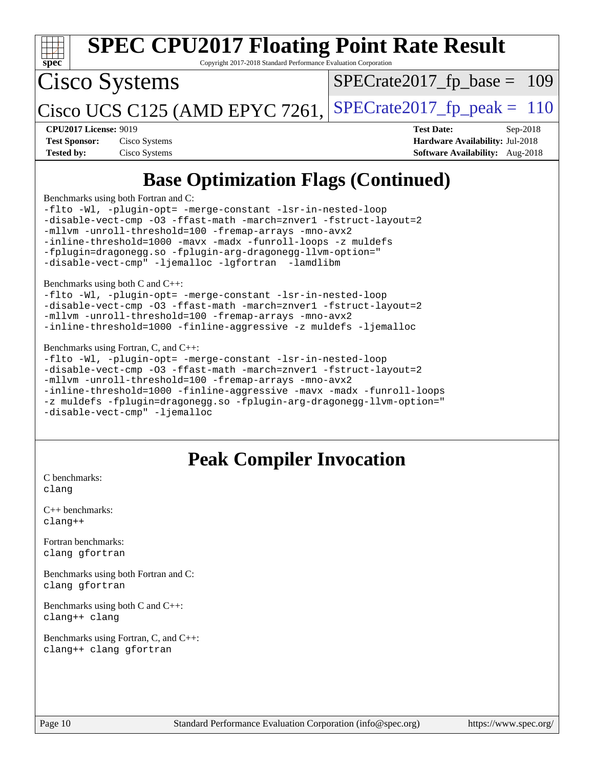| <b>SPEC CPU2017 Floating Point Rate Result</b><br>Spec<br>Copyright 2017-2018 Standard Performance Evaluation Corporation                                                                                                                                                                                                                                                                                             |                                                                                                              |  |  |  |
|-----------------------------------------------------------------------------------------------------------------------------------------------------------------------------------------------------------------------------------------------------------------------------------------------------------------------------------------------------------------------------------------------------------------------|--------------------------------------------------------------------------------------------------------------|--|--|--|
| Cisco Systems                                                                                                                                                                                                                                                                                                                                                                                                         | $SPECrate2017_fp\_base = 109$                                                                                |  |  |  |
| Cisco UCS C125 (AMD EPYC 7261,                                                                                                                                                                                                                                                                                                                                                                                        | $SPECTate2017$ _fp_peak = 110                                                                                |  |  |  |
| <b>CPU2017 License: 9019</b><br>Cisco Systems<br><b>Test Sponsor:</b><br><b>Tested by:</b><br>Cisco Systems                                                                                                                                                                                                                                                                                                           | <b>Test Date:</b><br>$Sep-2018$<br>Hardware Availability: Jul-2018<br><b>Software Availability:</b> Aug-2018 |  |  |  |
| <b>Base Optimization Flags (Continued)</b>                                                                                                                                                                                                                                                                                                                                                                            |                                                                                                              |  |  |  |
| Benchmarks using both Fortran and C:<br>-flto -Wl, -plugin-opt= -merge-constant -lsr-in-nested-loop<br>-disable-vect-cmp -03 -ffast-math -march=znver1 -fstruct-layout=2<br>-mllvm -unroll-threshold=100 -fremap-arrays -mno-avx2<br>-inline-threshold=1000 -mavx -madx -funroll-loops -z muldefs<br>-fplugin=dragonegg.so -fplugin-arg-dragonegg-llvm-option="<br>-disable-vect-cmp" -ljemalloc -lgfortran -lamdlibm |                                                                                                              |  |  |  |
| Benchmarks using both C and C++:<br>-flto -Wl, -plugin-opt= -merge-constant -lsr-in-nested-loop<br>-disable-vect-cmp -03 -ffast-math -march=znver1 -fstruct-layout=2<br>-mllvm -unroll-threshold=100 -fremap-arrays -mno-avx2<br>-inline-threshold=1000 -finline-aggressive -z muldefs -ljemalloc                                                                                                                     |                                                                                                              |  |  |  |
| Benchmarks using Fortran, C, and C++:<br>-flto -Wl, -plugin-opt= -merge-constant -lsr-in-nested-loop<br>-disable-vect-cmp -03 -ffast-math -march=znver1 -fstruct-layout=2<br>-mllvm -unroll-threshold=100 -fremap-arrays -mno-avx2<br>-inline-threshold=1000 -finline-aggressive -mavx -madx -funroll-loops<br>-z muldefs -fplugin=dragonegg.so -fplugin-arg-dragonegg-llvm-option="<br>-disable-vect-cmp" -ljemalloc |                                                                                                              |  |  |  |

## **[Peak Compiler Invocation](http://www.spec.org/auto/cpu2017/Docs/result-fields.html#PeakCompilerInvocation)**

[C benchmarks](http://www.spec.org/auto/cpu2017/Docs/result-fields.html#Cbenchmarks): [clang](http://www.spec.org/cpu2017/results/res2018q4/cpu2017-20181016-09253.flags.html#user_CCpeak_Fclang3)

[C++ benchmarks:](http://www.spec.org/auto/cpu2017/Docs/result-fields.html#CXXbenchmarks) [clang++](http://www.spec.org/cpu2017/results/res2018q4/cpu2017-20181016-09253.flags.html#user_CXXpeak_Fclang3_57a48582e5be507d19b2527b3e7d4f85d9b8669ffc9a8a0dbb9bcf949a918a58bbab411e0c4d14a3922022a3e425a90db94042683824c1806feff4324ca1000d)

[Fortran benchmarks](http://www.spec.org/auto/cpu2017/Docs/result-fields.html#Fortranbenchmarks): [clang](http://www.spec.org/cpu2017/results/res2018q4/cpu2017-20181016-09253.flags.html#user_FCpeak_Fclang3) [gfortran](http://www.spec.org/cpu2017/results/res2018q4/cpu2017-20181016-09253.flags.html#user_FCpeak_Fgfortran_128c91a56d61ddb07404721e65b8f9498c31a443dacbd3b7f212891090eca86e2d099b520f75b99e9e8ac4fdec01f4d15f0b65e47123ec4c42b0759045731a1f)

[Benchmarks using both Fortran and C](http://www.spec.org/auto/cpu2017/Docs/result-fields.html#BenchmarksusingbothFortranandC): [clang](http://www.spec.org/cpu2017/results/res2018q4/cpu2017-20181016-09253.flags.html#user_CC_FCpeak_Fclang3) [gfortran](http://www.spec.org/cpu2017/results/res2018q4/cpu2017-20181016-09253.flags.html#user_CC_FCpeak_Fgfortran_128c91a56d61ddb07404721e65b8f9498c31a443dacbd3b7f212891090eca86e2d099b520f75b99e9e8ac4fdec01f4d15f0b65e47123ec4c42b0759045731a1f)

[Benchmarks using both C and C++](http://www.spec.org/auto/cpu2017/Docs/result-fields.html#BenchmarksusingbothCandCXX): [clang++](http://www.spec.org/cpu2017/results/res2018q4/cpu2017-20181016-09253.flags.html#user_CC_CXXpeak_Fclang3_57a48582e5be507d19b2527b3e7d4f85d9b8669ffc9a8a0dbb9bcf949a918a58bbab411e0c4d14a3922022a3e425a90db94042683824c1806feff4324ca1000d) [clang](http://www.spec.org/cpu2017/results/res2018q4/cpu2017-20181016-09253.flags.html#user_CC_CXXpeak_Fclang3)

[Benchmarks using Fortran, C, and C++:](http://www.spec.org/auto/cpu2017/Docs/result-fields.html#BenchmarksusingFortranCandCXX) [clang++](http://www.spec.org/cpu2017/results/res2018q4/cpu2017-20181016-09253.flags.html#user_CC_CXX_FCpeak_Fclang3_57a48582e5be507d19b2527b3e7d4f85d9b8669ffc9a8a0dbb9bcf949a918a58bbab411e0c4d14a3922022a3e425a90db94042683824c1806feff4324ca1000d) [clang](http://www.spec.org/cpu2017/results/res2018q4/cpu2017-20181016-09253.flags.html#user_CC_CXX_FCpeak_Fclang3) [gfortran](http://www.spec.org/cpu2017/results/res2018q4/cpu2017-20181016-09253.flags.html#user_CC_CXX_FCpeak_Fgfortran_128c91a56d61ddb07404721e65b8f9498c31a443dacbd3b7f212891090eca86e2d099b520f75b99e9e8ac4fdec01f4d15f0b65e47123ec4c42b0759045731a1f)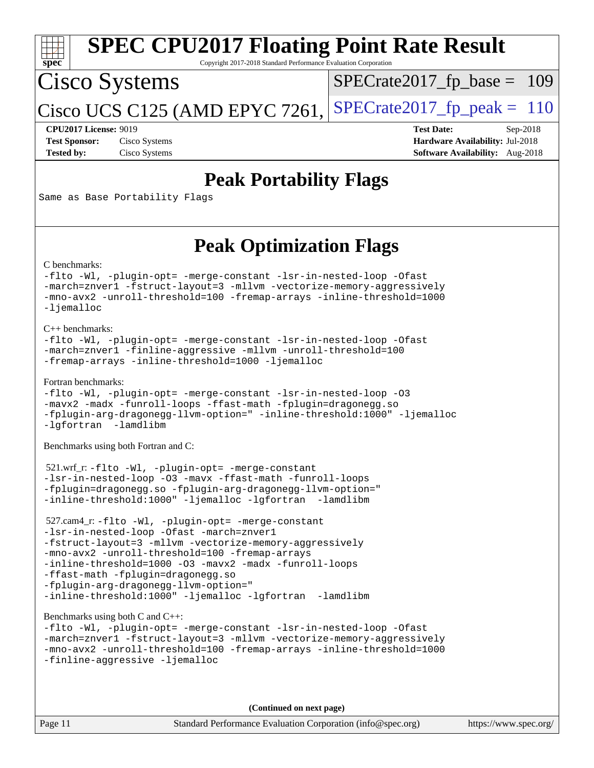